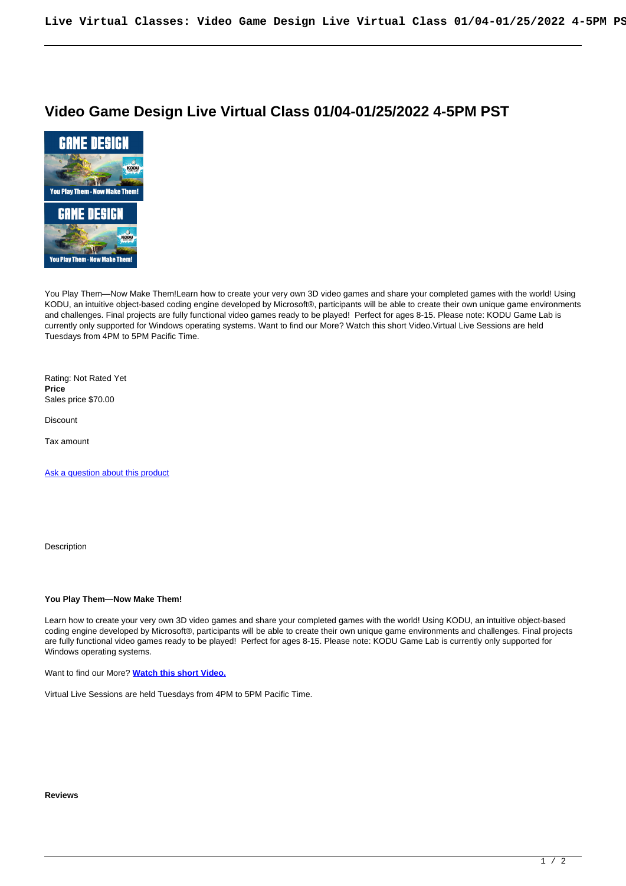## **Video Game Design Live Virtual Class 01/04-01/25/2022 4-5PM PST**



You Play Them—Now Make Them!Learn how to create your very own 3D video games and share your completed games with the world! Using KODU, an intuitive object-based coding engine developed by Microsoft®, participants will be able to create their own unique game environments and challenges. Final projects are fully functional video games ready to be played! Perfect for ages 8-15. Please note: KODU Game Lab is currently only supported for Windows operating systems. Want to find our More? Watch this short Video.Virtual Live Sessions are held Tuesdays from 4PM to 5PM Pacific Time.

Rating: Not Rated Yet **Price**  Sales price \$70.00

Discount

Tax amount

[Ask a question about this product](https://cblonline.org/index.php?option=com_virtuemart&view=productdetails&task=askquestion&virtuemart_product_id=297&virtuemart_category_id=1&tmpl=component)

Description

## **You Play Them—Now Make Them!**

Learn how to create your very own 3D video games and share your completed games with the world! Using KODU, an intuitive object-based coding engine developed by Microsoft®, participants will be able to create their own unique game environments and challenges. Final projects are fully functional video games ready to be played! Perfect for ages 8-15. Please note: KODU Game Lab is currently only supported for Windows operating systems.

Want to find our More? **[Watch this short Video.](https://youtu.be/dl2PHUYD3gU)**

Virtual Live Sessions are held Tuesdays from 4PM to 5PM Pacific Time.

## **Reviews**